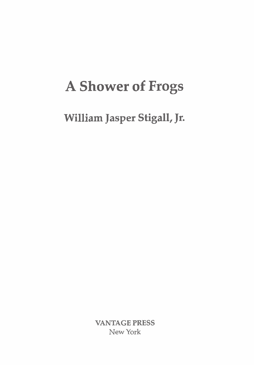## **A Shower of Frogs**

**William Jasper Stigall, Jr.** 

**VANTAGE PRESS**  New **York**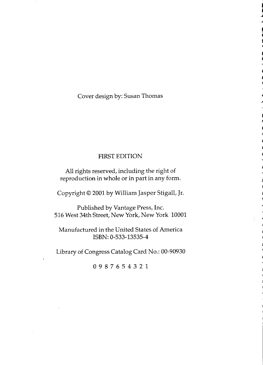## Cover design by: Susan Thomas

## **FIRST EDITION**

All rights reserved, including the right of reproduction in whole or in part in any form.

Copyright © 2001 by William Jasper Stigall, Jr.

Published by Vantage Press, Inc. 516 West 34th Street, New York, New York 10001

Manufactured in the United States of America ISBN: 0-533-13535-4

Library of Congress Catalog Card No.: 00-90930

0987654321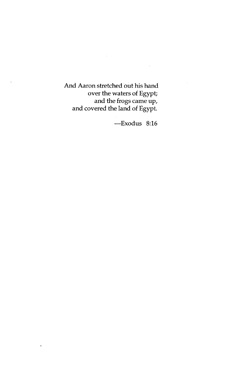And Aaron stretched out his hand over the waters of Egypt;<br>and the frogs came up,<br>and covered the land of Egypt.

 $\ddot{\phantom{0}}$ 

-Exodus 8:16

 $\sim$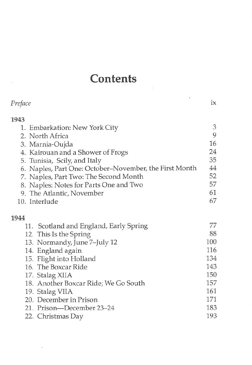## **Contents**

| Preface                                                | 1X  |
|--------------------------------------------------------|-----|
| 1943                                                   |     |
| 1. Embarkation: New York City                          | 3   |
| 2. North Africa                                        | 9   |
| 3. Marnia-Oujda                                        | 16  |
| 4. Kairouan and a Shower of Frogs                      | 24  |
| 5. Tunisia, Scily, and Italy                           | 35  |
| 6. Naples, Part One: October–November, the First Month | 44  |
| 7. Naples, Part Two: The Second Month                  | 52  |
| 8. Naples: Notes for Parts One and Two                 | 57  |
| 9. The Atlantic, November                              | 61  |
| 10. Interlude                                          | 67  |
| 1944                                                   |     |
| 11. Scotland and England, Early Spring                 | 77  |
| 12. This Is the Spring                                 | 88  |
| 13. Normandy, June 7–July 12                           | 100 |
| 14. England again                                      | 116 |
| 15. Flight into Holland                                | 134 |
| 16. The Boxcar Ride                                    | 143 |
| 17. Stalag XIIA                                        | 150 |
| 18. Another Boxcar Ride; We Go South                   | 157 |
| 19. Stalag VIIA                                        | 161 |
| 20. December in Prison                                 | 171 |
| 21. Prison—December 23–24                              | 183 |
| 22. Christmas Day                                      | 193 |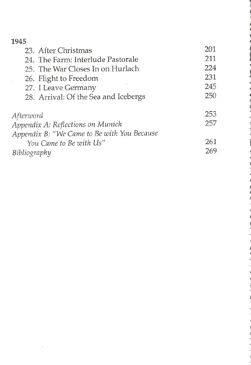| 1945                                        |     |
|---------------------------------------------|-----|
| 23. After Christmas                         | 201 |
| 24. The Farm: Interlude Pastorale           | 211 |
| 25. The War Closes In on Hurlach            | 224 |
| 26. Flight to Freedom                       | 231 |
| 27. I Leave Germany                         | 245 |
| 28. Arrival: Of the Sea and Icebergs        | 250 |
| Afterword                                   | 253 |
| Appendix A: Reflections on Munich           | 257 |
| Appendix B: "We Came to Be with You Because |     |
| You Came to Be with Us"                     | 261 |
| Bibliography                                | 269 |

 $\sim 10^{-11}$